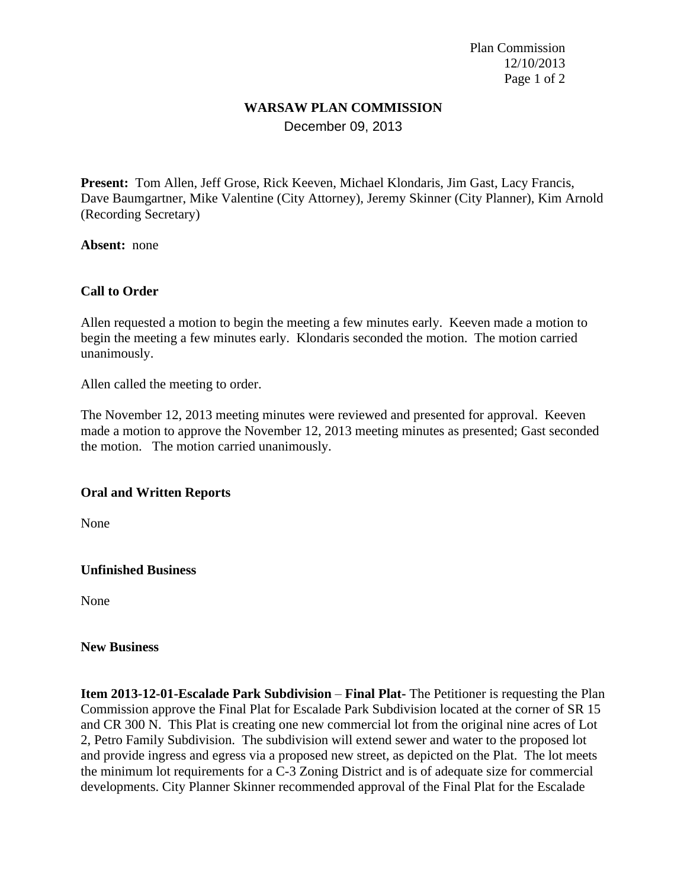Plan Commission 12/10/2013 Page 1 of 2

# **WARSAW PLAN COMMISSION**

December 09, 2013

**Present:** Tom Allen, Jeff Grose, Rick Keeven, Michael Klondaris, Jim Gast, Lacy Francis, Dave Baumgartner, Mike Valentine (City Attorney), Jeremy Skinner (City Planner), Kim Arnold (Recording Secretary)

**Absent:** none

## **Call to Order**

Allen requested a motion to begin the meeting a few minutes early. Keeven made a motion to begin the meeting a few minutes early. Klondaris seconded the motion. The motion carried unanimously.

Allen called the meeting to order.

The November 12, 2013 meeting minutes were reviewed and presented for approval. Keeven made a motion to approve the November 12, 2013 meeting minutes as presented; Gast seconded the motion. The motion carried unanimously.

#### **Oral and Written Reports**

None

#### **Unfinished Business**

None

#### **New Business**

**Item 2013-12-01-Escalade Park Subdivision – Final Plat-** The Petitioner is requesting the Plan Commission approve the Final Plat for Escalade Park Subdivision located at the corner of SR 15 and CR 300 N. This Plat is creating one new commercial lot from the original nine acres of Lot 2, Petro Family Subdivision. The subdivision will extend sewer and water to the proposed lot and provide ingress and egress via a proposed new street, as depicted on the Plat. The lot meets the minimum lot requirements for a C-3 Zoning District and is of adequate size for commercial developments. City Planner Skinner recommended approval of the Final Plat for the Escalade